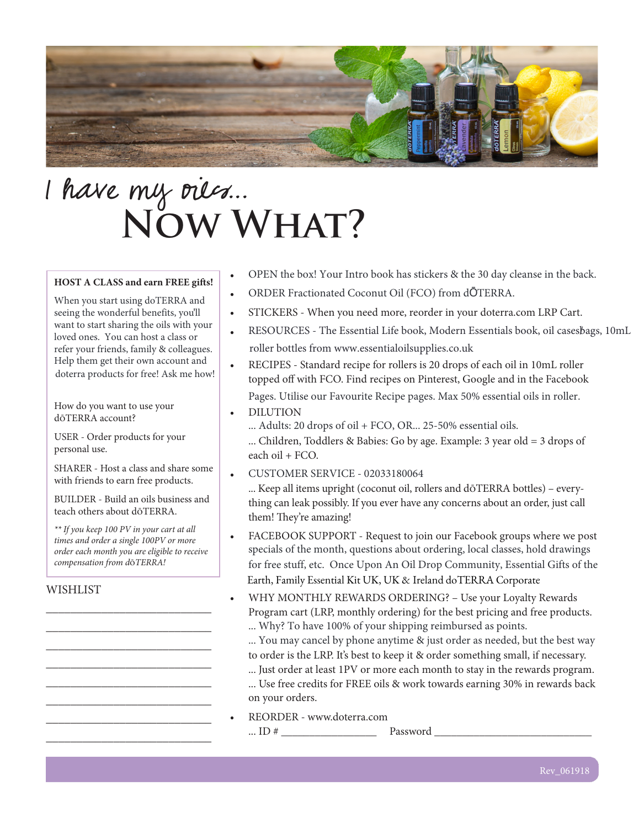

# I have my oues... **Now What?**

#### **HOST A CLASS and earn FREE gifts!**

When you start using doTERRA and seeing the wonderful benefits, you'll want to start sharing the oils with your loved ones. You can host a class or refer your friends, family & colleagues. Help them get their own account and doterra products for free! Ask me how!

How do you want to use your dōTERRA account?

USER - Order products for your personal use.

SHARER - Host a class and share some with friends to earn free products.

BUILDER - Build an oils business and teach others about dōTERRA.

*\*\* If you keep 100 PV in your cart at all times and order a single 100PV or more order each month you are eligible to receive compensation from d*ō*TERRA!*

\_\_\_\_\_\_\_\_\_\_\_\_\_\_\_\_\_\_\_\_\_\_\_\_\_\_\_ \_\_\_\_\_\_\_\_\_\_\_\_\_\_\_\_\_\_\_\_\_\_\_\_\_\_\_ \_\_\_\_\_\_\_\_\_\_\_\_\_\_\_\_\_\_\_\_\_\_\_\_\_\_\_ \_\_\_\_\_\_\_\_\_\_\_\_\_\_\_\_\_\_\_\_\_\_\_\_\_\_\_ \_\_\_\_\_\_\_\_\_\_\_\_\_\_\_\_\_\_\_\_\_\_\_\_\_\_\_ \_\_\_\_\_\_\_\_\_\_\_\_\_\_\_\_\_\_\_\_\_\_\_\_\_\_\_ \_\_\_\_\_\_\_\_\_\_\_\_\_\_\_\_\_\_\_\_\_\_\_\_\_\_\_ \_\_\_\_\_\_\_\_\_\_\_\_\_\_\_\_\_\_\_\_\_\_\_\_\_\_\_

#### **WISHLIST**

- OPEN the box! Your Intro book has stickers & the 30 day cleanse in the back.
- ORDER Fractionated Coconut Oil (FCO) from dŌTERRA.
- STICKERS When you need more, reorder in your doterra.com LRP Cart.
- RESOURCES - The Essential Life book, Modern Essentials book, oil casesbags, 10mL roller bottles from www.essentialoilsupplies.co.uk
- RECIPES Standard recipe for rollers is 20 drops of each oil in 10mL roller topped off with FCO. Find recipes on Pinterest, Google and in the Facebook Pages. Utilise our Favourite Recipe pages. Max 50% essential oils in roller.
- DILUTION
	- ... Children, Toddlers & Babies: Go by age. Example: 3 year old = 3 drops of each oil +  $FCO$ . ... Adults: 20 drops of oil + FCO, OR... 25-50% essential oils.
- CUSTOMER SERVICE - 02033180064

... Keep all items upright (coconut oil, rollers and dōTERRA bottles) – everything can leak possibly. If you ever have any concerns about an order, just call them! They're amazing!

- FACEBOOK SUPPORT Request to join our Facebook groups where we post for free stuff, etc. Once Upon An Oil Drop Community, Essential Gifts of the Earth, Family Essential Kit UK, UK & Ireland doTERRA Corporate specials of the month, questions about ordering, local classes, hold drawings
- WHY MONTHLY REWARDS ORDERING? Use your Loyalty Rewards Program cart (LRP, monthly ordering) for the best pricing and free products. ... Why? To have 100% of your shipping reimbursed as points.
	- to order is the LRP. It's best to keep it & order something small, if necessary. ... You may cancel by phone anytime & just order as needed, but the best way
	- ... Just order at least 1PV or more each month to stay in the rewards program. ... Use free credits for FREE oils & work towards earning 30% in rewards back on your orders.
- REORDER www.doterra.com ... ID  $\#$  Password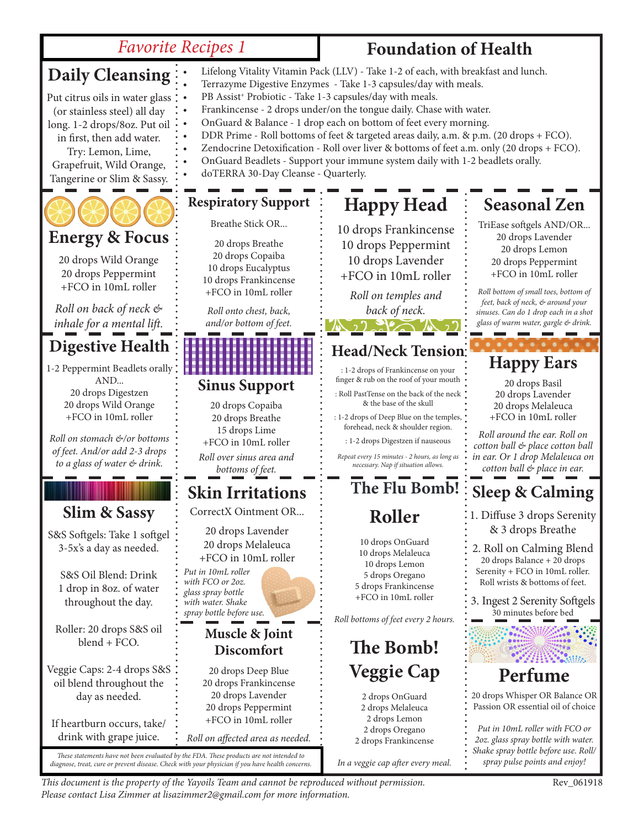### *Favorite Recipes 1*

### **Foundation of Health**

#### **Digestive Health** 1-2 Peppermint Beadlets orally AND... 20 drops Digestzen 20 drops Wild Orange +FCO in 10mL roller *Roll on stomach &/or bottoms of feet. And/or add 2-3 drops to a glass of water & drink.* **Respiratory Support** Breathe Stick OR... 20 drops Breathe 20 drops Copaiba 10 drops Eucalyptus 10 drops Frankincense +FCO in 10mL roller *Roll onto chest, back, and/or bottom of feet.* **Sinus Support** 20 drops Copaiba 20 drops Breathe 15 drops Lime +FCO in 10mL roller *Roll over sinus area and bottoms of feet.* **Slim & Sassy** S&S Softgels: Take 1 softgel 3-5x's a day as needed. S&S Oil Blend: Drink 1 drop in 8oz. of water throughout the day. Roller: 20 drops S&S oil blend + FCO. Veggie Caps: 2-4 drops S&S oil blend throughout the day as needed. If heartburn occurs, take/ drink with grape juice. **Happy Head** 10 drops Frankincense 10 drops Peppermint 10 drops Lavender +FCO in 10mL roller *Roll on temples and back of neck.* **Energy & Focus** 20 drops Wild Orange 20 drops Peppermint +FCO in 10mL roller *Roll on back of neck & inhale for a mental lift.* **Roller** 10 drops OnGuard 10 drops Melaleuca 10 drops Lemon 5 drops Oregano 5 drops Frankincense +FCO in 10mL roller *Roll bottoms of feet every 2 hours.*  **The Bomb! Veggie Cap** 2 drops OnGuard 2 drops Melaleuca 2 drops Lemon 2 drops Oregano 2 drops Frankincense **Head/Neck Tension** : 1-2 drops of Frankincense on your finger & rub on the roof of your mouth : Roll PastTense on the back of the neck & the base of the skull : 1-2 drops of Deep Blue on the temples, forehead, neck & shoulder region. : 1-2 drops Digestzen if nauseous *Repeat every 15 minutes - 2 hours, as long as necessary. Nap if situation allows.* **Skin Irritations** CorrectX Ointment OR... 20 drops Lavender 20 drops Melaleuca +FCO in 10mL roller *Put in 10mL roller with FCO or 2oz. glass spray bottle with water. Shake spray bottle before use.* **Muscle & Joint Discomfort** 20 drops Deep Blue 20 drops Frankincense 20 drops Lavender 20 drops Peppermint +FCO in 10mL roller *Roll on affected area as needed.* **Daily Cleansing** Put citrus oils in water glass (or stainless steel) all day long. 1-2 drops/8oz. Put oil in first, then add water. Try: Lemon, Lime, Grapefruit, Wild Orange, Tangerine or Slim & Sassy. • Terrazyme Digestive Enzymes - Take 1-3 capsules/day with meals. PB Assist<sup>+</sup> Probiotic - Take 1-3 capsules/day with meals. • Frankincense - 2 drops under/on the tongue daily. Chase with water. • OnGuard & Balance - 1 drop each on bottom of feet every morning. • OnGuard Beadlets - Support your immune system daily with 1-2 beadlets orally. • doTERRA 30-Day Cleanse - Quarterly. **The Flu Bomb!**

These statements have not been evaluated by the FDA. These products are not intended to<br>diagnose, treat, cure or prevent disease. Check with your physician if you have health concerns. In a veggie cap after every meal. \* s

• Lifelong Vitality Vitamin Pack (LLV) - Take 1-2 of each, with breakfast and lunch.

- 
- DDR Prime Roll bottoms of feet & targeted areas daily, a.m. & p.m. (20 drops + FCO).
- Zendocrine Detoxification Roll over liver & bottoms of feet a.m. only (20 drops + FCO).
	-

*In a veggie cap after every meal.*

# **Seasonal Zen**

TriEase softgels AND/OR... 20 drops Lavender 20 drops Lemon 20 drops Peppermint +FCO in 10mL roller

*Roll bottom of small toes, bottom of feet, back of neck, & around your sinuses. Can do 1 drop each in a shot glass of warm water, gargle & drink.*

## **Happy Ears**

20 drops Basil 20 drops Lavender 20 drops Melaleuca +FCO in 10mL roller

*Roll around the ear. Roll on cotton ball & place cotton ball in ear. Or 1 drop Melaleuca on cotton ball & place in ear.*

# **Sleep & Calming**

1. Diffuse 3 drops Serenity & 3 drops Breathe

2. Roll on Calming Blend 20 drops Balance + 20 drops Serenity + FCO in 10mL roller. Roll wrists & bottoms of feet.

3. Ingest 2 Serenity Softgels 30 minutes before bed



20 drops Whisper OR Balance OR Passion OR essential oil of choice

*Put in 10mL roller with FCO or 2oz. glass spray bottle with water. Shake spray bottle before use. Roll/*

*This document is the property of the Yayoils Team and cannot be reproduced without permission.* Rev\_061918 *Please contact Lisa Zimmer at lisazimmer2@gmail.com for more information.*